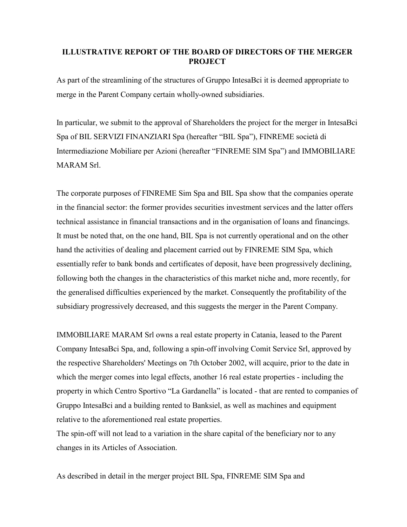## **ILLUSTRATIVE REPORT OF THE BOARD OF DIRECTORS OF THE MERGER PROJECT**

As part of the streamlining of the structures of Gruppo IntesaBci it is deemed appropriate to merge in the Parent Company certain wholly-owned subsidiaries.

In particular, we submit to the approval of Shareholders the project for the merger in IntesaBci Spa of BIL SERVIZI FINANZIARI Spa (hereafter "BIL Spa"), FINREME società di Intermediazione Mobiliare per Azioni (hereafter "FINREME SIM Spa") and IMMOBILIARE MARAM Srl.

The corporate purposes of FINREME Sim Spa and BIL Spa show that the companies operate in the financial sector: the former provides securities investment services and the latter offers technical assistance in financial transactions and in the organisation of loans and financings. It must be noted that, on the one hand, BIL Spa is not currently operational and on the other hand the activities of dealing and placement carried out by FINREME SIM Spa, which essentially refer to bank bonds and certificates of deposit, have been progressively declining, following both the changes in the characteristics of this market niche and, more recently, for the generalised difficulties experienced by the market. Consequently the profitability of the subsidiary progressively decreased, and this suggests the merger in the Parent Company.

IMMOBILIARE MARAM Srl owns a real estate property in Catania, leased to the Parent Company IntesaBci Spa, and, following a spin-off involving Comit Service Srl, approved by the respective Shareholders' Meetings on 7th October 2002, will acquire, prior to the date in which the merger comes into legal effects, another 16 real estate properties - including the property in which Centro Sportivo "La Gardanella" is located - that are rented to companies of Gruppo IntesaBci and a building rented to Banksiel, as well as machines and equipment relative to the aforementioned real estate properties.

The spin-off will not lead to a variation in the share capital of the beneficiary nor to any changes in its Articles of Association.

As described in detail in the merger project BIL Spa, FINREME SIM Spa and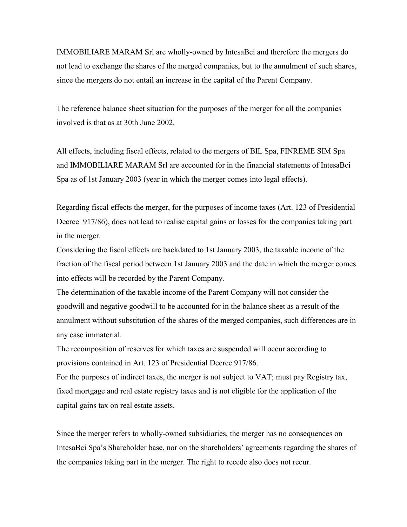IMMOBILIARE MARAM Srl are wholly-owned by IntesaBci and therefore the mergers do not lead to exchange the shares of the merged companies, but to the annulment of such shares, since the mergers do not entail an increase in the capital of the Parent Company.

The reference balance sheet situation for the purposes of the merger for all the companies involved is that as at 30th June 2002.

All effects, including fiscal effects, related to the mergers of BIL Spa, FINREME SIM Spa and IMMOBILIARE MARAM Srl are accounted for in the financial statements of IntesaBci Spa as of 1st January 2003 (year in which the merger comes into legal effects).

Regarding fiscal effects the merger, for the purposes of income taxes (Art. 123 of Presidential Decree 917/86), does not lead to realise capital gains or losses for the companies taking part in the merger.

Considering the fiscal effects are backdated to 1st January 2003, the taxable income of the fraction of the fiscal period between 1st January 2003 and the date in which the merger comes into effects will be recorded by the Parent Company.

The determination of the taxable income of the Parent Company will not consider the goodwill and negative goodwill to be accounted for in the balance sheet as a result of the annulment without substitution of the shares of the merged companies, such differences are in any case immaterial.

The recomposition of reserves for which taxes are suspended will occur according to provisions contained in Art. 123 of Presidential Decree 917/86.

For the purposes of indirect taxes, the merger is not subject to VAT; must pay Registry tax, fixed mortgage and real estate registry taxes and is not eligible for the application of the capital gains tax on real estate assets.

Since the merger refers to wholly-owned subsidiaries, the merger has no consequences on IntesaBci Spa's Shareholder base, nor on the shareholders' agreements regarding the shares of the companies taking part in the merger. The right to recede also does not recur.